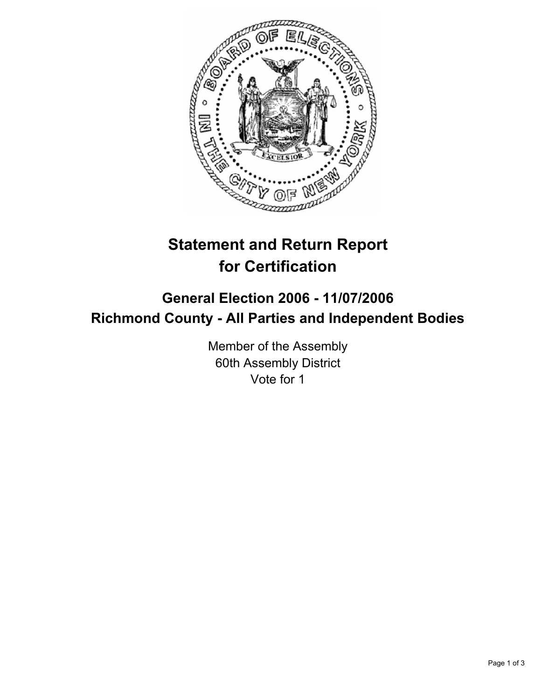

# **Statement and Return Report for Certification**

## **General Election 2006 - 11/07/2006 Richmond County - All Parties and Independent Bodies**

Member of the Assembly 60th Assembly District Vote for 1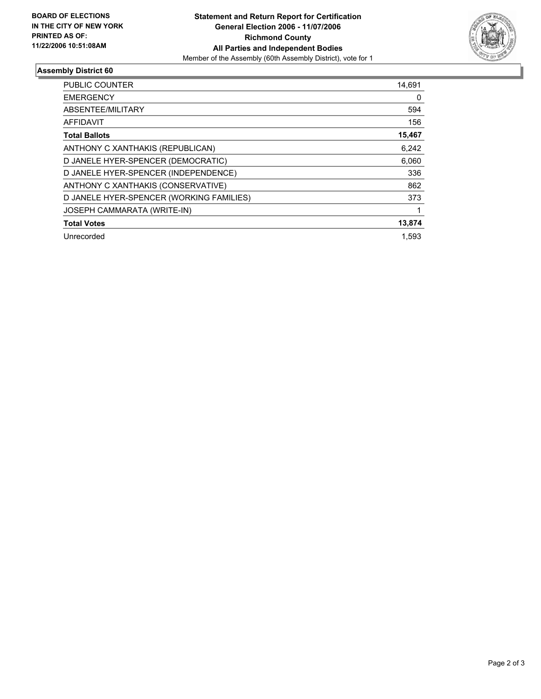

### **Assembly District 60**

| <b>PUBLIC COUNTER</b>                    | 14,691 |
|------------------------------------------|--------|
| <b>EMERGENCY</b>                         | 0      |
| ABSENTEE/MILITARY                        | 594    |
| <b>AFFIDAVIT</b>                         | 156    |
| <b>Total Ballots</b>                     | 15,467 |
| ANTHONY C XANTHAKIS (REPUBLICAN)         | 6,242  |
| D JANELE HYER-SPENCER (DEMOCRATIC)       | 6,060  |
| D JANELE HYER-SPENCER (INDEPENDENCE)     | 336    |
| ANTHONY C XANTHAKIS (CONSERVATIVE)       | 862    |
| D JANELE HYER-SPENCER (WORKING FAMILIES) | 373    |
| JOSEPH CAMMARATA (WRITE-IN)              |        |
| <b>Total Votes</b>                       | 13,874 |
| Unrecorded                               | 1.593  |